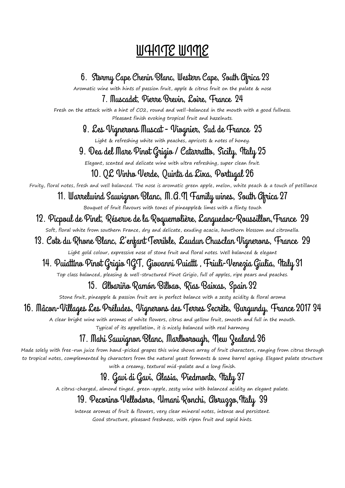## WHITE WINE

6. Stormy Cape Chenin Blanc, Western Cape, South Africa 23 Aromatic wine with hints of passion fruit, apple & citrus fruit on the palate & nose 7. Muscadet, Pierre Brevin, Loire, France 24 Fresh on the attack with a hint of CO2, round and well-balanced in the mouth with a good fullness. Pleasant finish evoking tropical fruit and hazelnuts. 8. Les Vignerons Muscat - Viognier, Sud de France 25 Light & refreshing white with peaches, apricots & notes of honey. 9. Dea del Mare Pinot Grigio / Catarratto, Sicily, Italy 25 Elegant, scented and delicate wine with ultra refreshing, super clean fruit. 10. QL Vinho Verde, Quinta da Lixa, Portugal 26 Fruity, floral notes, fresh and well balanced. The nose is aromatic green apple, melon, white peach & a touch of petillance 11. Warrelwind Sauvignon Blanc, M.A.N Family wines, South Africa 27 Bouquet of fruit flavours with tones of pineapple& limes with a flinty touch 12. Picpoul de Pinet, Réserve de la Roquemolière, Languedoc-Roussillon,France 29 Soft, floral white from southern France, dry and delicate, exuding acacia, hawthorn blossom and citronella. 13. Cote du Rhone Blanc, L'enfant Terrible, Laudun Chusclan Vignerons, France 29 Light gold colour, expressive nose of stone fruit and floral notes. Well balanced & elegant 14. Puiattino Pinot Grigio IGT, Giovanni Puiatti , Friuli-Venezia Giulia, Italy 31 Top class balanced, pleasing & well-structured Pinot Grigio, full of apples, ripe pears and peaches. 15. Albariño Ramón Bilbao, Rias Baixas, Spain 32 Stone fruit, pineapple & passion fruit are in perfect balance with a zesty acidity & floral aroma

## 16. Mâcon-Villages Les Préludes, Vignerons des Terres Secrète, Burgundy, France 2017 34

A clear bright wine with aromas of white flowers, citrus and yellow fruit, smooth and full in the mouth. Typical of its appellation, it is nicely balanced with real harmony

## 17. Mahi Sauvignon Blanc, Marlborough, New Zealand 36

Made solely with free-run juice from hand-picked grapes this wine shows array of fruit characters, ranging from citrus through to tropical notes, complemented by characters from the natural yeast ferments & some barrel ageing. Elegant palate structure with a creamy, textural mid-palate and a long finish.

## 18. Gavi di Gavi, Alasia, Piedmonte, Italy 37

A citrus-charged, almond tinged, green-apple, zesty wine with balanced acidity an elegant palate.

## 19. Pecorino Vellodoro, Umani Ronchi, Abruzzo,Italy 39

Intense aromas of fruit & flowers, very clear mineral notes, intense and persistent. Good structure, pleasant freshness, with ripen fruit and sapid hints.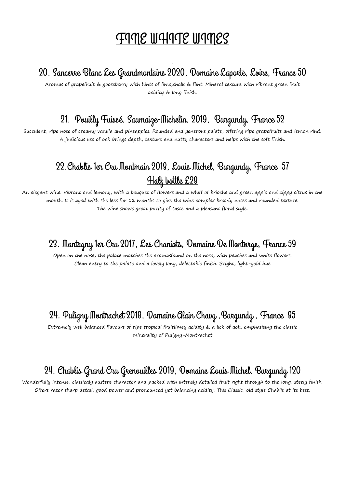# <u>FIME WHITE WIMES</u>

#### . 20. Sancerre Blanc Les Grandmontains 2020, Domaine Laporte, Loire, France 50

Aromas of grapefruit & gooseberry with hints of lime,chalk & flint. Mineral texture with vibrant green fruit acidity & long finish.

### 21. Pouilly Fuissé, Saumaize-Michelin, 2019, Burgundy, France 52

Succulent, ripe nose of creamy vanilla and pineapples. Rounded and generous palate, offering ripe grapefruits and lemon rind. A judicious use of oak brings depth, texture and nutty characters and helps with the soft finish.

## 22.Chablis 1er Cru Montmain 2018, Louis Michel, Burgundy, France 57 Half bottle £28

An elegant wine. Vibrant and lemony, with a bouquet of flowers and a whiff of brioche and green apple and zippy citrus in the mouth. It is aged with the lees for 12 months to give the wine complex bready notes and rounded texture. The wine shows great purity of taste and a pleasant floral style.

#### 23. Montagny 1er Cru 2017, Les Chaniots, Domaine De Montorge, France 59

Open on the nose, the palate matches the aromasfound on the nose, with peaches and white flowers. Clean entry to the palate and a lovely long, delectable finish. Bright, light-gold hue

#### 24. Puligny Montrachet 2018, Domaine Alain Chavy ,Burgundy , France 85

Extremely well balanced flavours of ripe tropical fruitlimey acidity & a lick of aok, emphasising the classic minerality of Puligny-Montrachet

## 24. Chablis Grand Cru Grenouilles 2019, Domaine Louis Michel, Burgundy 120

Wonderfully intense, classicaly austere character and packed with intensly detailed fruit right through to the long, steely finish. Offers razor sharp detail, good power and pronounced yet balancing acidity. This Classic, old style Chablis at its best.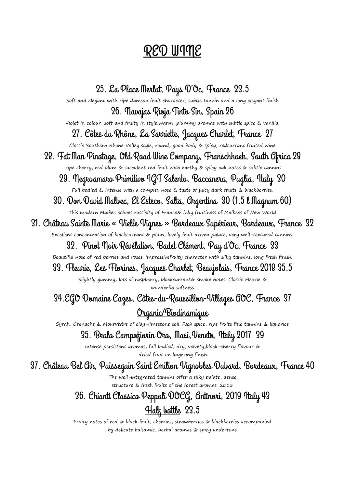## RED WINE

25. La Place Merlot, Pays D'Oc, France 23.5 Soft and elegant with ripe damson fruit character, subtle tannin and a long elegant finish 26. Navajas Rioja Tinto Sin, Spain 26 Violet in colour, soft and fruity in style.Warm, plummy aromas with subtle spice & vanilla. 27. Côtes du Rhône, La Sarriette, Jacques Charlet, France 27 Classic Southern Rhone Valley style, round, good body & spicy, redcurrant fruited wine 28. Fat Man Pinotage, Old Road Wine Company, Franschhoek, South Africa 28 ripe cherry, red plum & succulent red fruit with earthy & spicy oak notes & subtle tannins 29. Negroamaro Primitivo IGT Salento, Baccanera, Puglia, Italy 30 Full bodied & intense with a complex nose & taste of juicy dark fruits & blackberries 30. Don David Malbec, El Esteco, Salta, Argentina 30 (1.5 l Magnum 60) This modern Malbec echoes rusticity of France& inky fruitiness of Malbecs of New World 31. Château Sainte Marie « Vielle Vignes » Bordeaux Supérieur, Bordeaux, France 32 Excellent concentration of blackcurrant & plum, lovely fruit driven palate, very well-textured tannins. 32. Pinot Noir Révélation, Badet Clément, Pay d'Oc, France 33 Beautiful nose of red berries and roses. impressivefruity character with silky tannins, long fresh finish. 33. Fleurie, Les Florines, Jacques Charlet, Beaujolais, France 2018 35.5 Slightly gummy, lots of raspberry, blackcurrant& smoke notes. Classic Fleurie & wonderful softness 34.EGO Domaine Cazes, Côtes-du-Roussillon-Villages AOC, France 37 Organic/Biodinamique Syrah, Grenache & Mourvèdre of clay-limestone soil. Rich spice, ripe fruits fine tannins & liquorice 35. Brolo Campofiorin Oro, Masi,Veneto, Italy 2017 39 Intense persistent aromas, full bodied, dry, velvety,black-cherry flavour & dried fruit on lingering finish. 37. Château Bel Air, Puisseguin Saint Emilion Vignobles Dubard, Bordeaux, France 40 The well-integrated tannins offer a silky palate, dense structure & fresh fruits of the forest aromas. 2015 36. Chianti Classico Peppoli DOCG, Antinori, 2019 Italy 43 Halk bottle 23.5

> Fruity notes of red & black fruit, cherries, strawberries & blackberries accompanied by delicate balsamic, herbal aromas & spicy undertone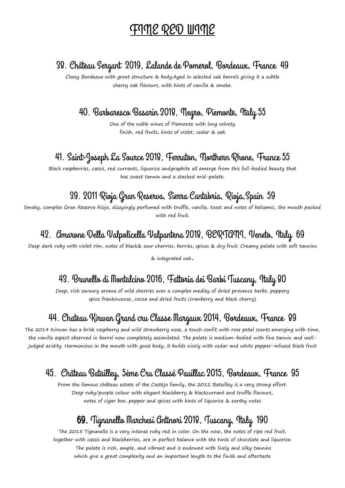## FINE RED WINE

#### 38. Château Sergant 2019, Lalande de Pomerol, Bordeaux, France 49

Classy Bordeaux with great structure & body.Aged in selected oak barrels giving it a subtle cherry oak flavours, with hints of vanilla & smoke.

## 40. Barbaresco Basarin 2018, Negro, Piemonte, Italy 55

One of the noble wines of Piemonte with long velvety finish, red fruits, hints of violet, cedar & oak

#### 41. Saint-Joseph La Source 2018, Ferraton, Northern Rhone, France 55

Black raspberries, cassis, red currants, liquorice andgraphite all emerge from this full-bodied beauty that has sweet tannin and a stacked mid-palate**.**

## 39. 2011 Rioja Gran Reserva, Sierra Cantabria, Rioja,Spain 59

Smoky, complex Gran Reserva Rioja, dizzyingly perfumed with truffle, vanilla, toast and notes of balsamic, the mouth packed with red fruit.

## 42. Amarone Della Valpolicella Valpantena 2018, BERTANI, Veneto, Italy 69

Deep dark ruby with violet rim, notes of black& sour cherries, berries, spices & dry fruit. Creamy palate with soft tannins

& integrated oak.

## 43. Brunello di Montalcino 2016, Fattoria dei Barbi Tuscany, Italy 80

Deep, rich savoury aroma of wild cherries over a complex medley of dried provence herbs, peppery spice frankincense, cocoa and dried fruits (cranberry and black cherry)

#### 44. Chateau Kirwan Grand cru Classe Margaux 2014, Bordeaux, France 89

The 2014 Kirwan has a brisk raspberry and wild strawberry nose, a touch confit with rose petal scents emerging with time, the vanilla aspect observed in barrel now completely assimilated. The palate is medium-bodied with fine tannin and welljudged acidity. Harmonious in the mouth with good body, it builds nicely with cedar and white pepper-infused black fruit

## 45. Château Batailley, 5ème Cru Classé Pauillac 2015, Bordeaux, France 95

From the famous château estate of the Castéja family, the 2012 Batailley is a very strong effort. Deep ruby/purple colour with elegant blackberry & blackcurrant and truffle flavours, notes of cigar box, pepper and spices with hints of liquorice & earthy notes

#### 69. Tignanello Marchesi Antinori 2018, Tuscany, Italy 190

The 2015 Tignanello is a very intense ruby red in color. On the nose, the notes of ripe red fruit, together with cassis and blackberries, are in perfect balance with the hints of chocolate and liquorice. The palate is rich, ample, and vibrant and is endowed with lively and silky tannins which give a great complexity and an important length to the finish and aftertaste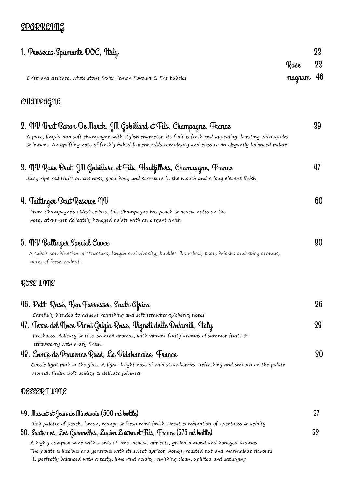## **SPARKLING**

| 1. Prosecco Spumante DOC, Italy                                                                                                                                                                                                                                                                                                                                                            | Rose   | 23<br>23 |
|--------------------------------------------------------------------------------------------------------------------------------------------------------------------------------------------------------------------------------------------------------------------------------------------------------------------------------------------------------------------------------------------|--------|----------|
| Crisp and delicate, white stone fruits, lemon flavours & fine bubbles                                                                                                                                                                                                                                                                                                                      | magnum | 46       |
| <u>CHAMPAGME</u>                                                                                                                                                                                                                                                                                                                                                                           |        |          |
| 2.  MV Brut Baron De Marck, JM Gobillard et Fils, Champagne, France<br>A pure, limpid and soft champagne with stylish character. Its fruit is fresh and appealing, bursting with apples<br>& lemons. An uplifting note of freshly baked brioche adds complexity and class to an elegantly balanced palate.                                                                                 |        | 39       |
| 3.  MV Rose Brut, JM Gobillard et Fils, Hautfillers, Champagne, France<br>Juicy ripe red fruits on the nose, good body and structure in the mouth and a long elegant finish                                                                                                                                                                                                                |        | 47       |
| 4. Taittinger Brut Reserve MV<br>From Champagne's oldest cellars, this Champagne has peach & acacia notes on the<br>nose, citrus-yet delicately honeyed palate with an elegant finish.                                                                                                                                                                                                     |        | 60       |
| 5. MV Bollinger Special Cuvee<br>A subtle combination of structure, length and vivacity; bubbles like velvet; pear, brioche and spicy aromas,<br>notes of fresh walnut.                                                                                                                                                                                                                    |        | 80       |
| <u>ROSE WIME</u>                                                                                                                                                                                                                                                                                                                                                                           |        |          |
| 46. Petit Rosé, Ken Forrester, South Gfrica                                                                                                                                                                                                                                                                                                                                                |        | 26       |
| Carefully blended to achieve refreshing and soft strawberry/cherry notes                                                                                                                                                                                                                                                                                                                   |        |          |
| 47. Terre del ¶oce Pinot Grigio Rose, Vigneti delle Dolomiti, Italy<br>Freshness, delicacy & rose-scented aromas, with vibrant fruity aromas of summer fruits &<br>strawberry with a dry finish.                                                                                                                                                                                           |        | 28       |
| 48. Comte de Provence Rosé, La Vidabanaise, France                                                                                                                                                                                                                                                                                                                                         |        | 30       |
| Classic light pink in the glass. A light, bright nose of wild strawberries. Refreshing and smooth on the palate.<br>Moreish finish. Soft acidity & delicate juiciness.                                                                                                                                                                                                                     |        |          |
| DESSERT WIME                                                                                                                                                                                                                                                                                                                                                                               |        |          |
| 49. Muscat st Jean de Minervois (500 ml bottle)                                                                                                                                                                                                                                                                                                                                            |        | 27       |
| Rich palette of peach, lemon, mango & fresh mint finish. Great combination of sweetness & acidity                                                                                                                                                                                                                                                                                          |        | 33       |
| 50. Sauternes, Les Garonelles, Lucien Lurton et Fils, France (375 ml bottle)<br>A highly complex wine with scents of lime, acacia, apricots, grilled almond and honeyed aromas.<br>The palate is luscious and generous with its sweet apricot, honey, roasted nut and marmalade flavours<br>& perfectly balanced with a zesty, lime rind acidity, finishing clean, uplifted and satisfying |        |          |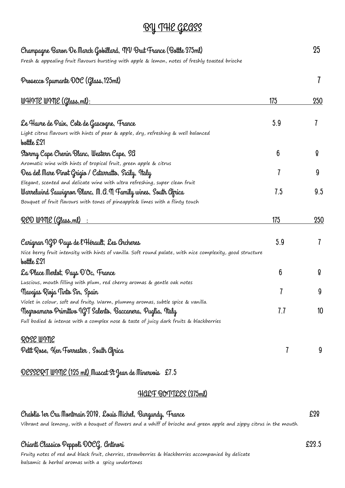# BY THE GEASS

| Champagne Baron De Marck Gobillard, NV Brut France (Bottle 375ml)                                                       |     | 25              |
|-------------------------------------------------------------------------------------------------------------------------|-----|-----------------|
| Fresh & appealing fruit flavours bursting with apple & lemon, notes of freshly toasted brioche                          |     |                 |
| Prosecco Spumante OOC (Glass, 125ml)                                                                                    |     |                 |
| <u> WHITE WIME (Glass, ml):</u>                                                                                         | 175 | 250             |
| Le Havre de Paix, Cote de Gascogne, France                                                                              | 5.9 | 7               |
| Light citrus flavours with hints of pear & apple, dry, refreshing & well balanced<br>bottle £21                         |     |                 |
| Stvrmy Cape Chenin Blanc, Western Cape, SG                                                                              | 6   | 8               |
| Aromatic wine with hints of tropical fruit, green apple & citrus                                                        |     |                 |
| Dea del Mare Pinot Grigio / Catarratto, Sicily, Italy                                                                   | 7   | 9               |
| Elegant, scented and delicate wine with ultra refreshing, super clean fruit                                             |     |                 |
| Warrelwind Sauvignon Blanc, M.A.M Family wines, South Africa                                                            | 7.5 | 9.5             |
| Bouquet of fruit flavours with tones of pineapple& limes with a flinty touch                                            |     |                 |
| RED WIME (Glass, ml)                                                                                                    | 175 | 250             |
| Carignan IGP Pays de l'Hérault, Les Archeres                                                                            | 5.9 | 7               |
| Nice berry fruit intensity with hints of vanilla. Soft round palate, with nice complexity, good structure<br>bottle £21 |     |                 |
| La Place Merlot, Pays D'Oc, France                                                                                      | 6   | 8               |
| Luscious, mouth filling with plum, red cherry aromas & gentle oak notes                                                 |     |                 |
| Navajas Rivja Tinto Sin, Spain                                                                                          | 7   | 9               |
| Violet in colour, soft and fruity. Warm, plummy aromas, subtle spice & vanilla.                                         |     |                 |
| Negroamaro Primitivo IGT Salento, Baccanera, Puglia, Italy                                                              | 7.7 | 10 <sup>°</sup> |
| Full bodied & intense with a complex nose & taste of juicy dark fruits & blackberries                                   |     |                 |
| <u>ROSE WIME</u>                                                                                                        |     |                 |
| Petit Rose, Ken Forrester, South Gfrica                                                                                 | 7   | 9               |
| <u> DESSERT WIME (125 ml) Muscat St Jean de Minerwois £7.5</u>                                                          |     |                 |
| HALF BOTTLES (375ml)                                                                                                    |     |                 |
| Chablis 1er Cru Montmain 2019, Louis Michel, Burgundy, France                                                           |     | £29             |
| Vibrant and lemony, with a bouquet of flowers and a whiff of brioche and green apple and zippy citrus in the mouth.     |     |                 |

### Chianti Classico Peppoli DOCG, Antinori £23.5

Fruity notes of red and black fruit, cherries, strawberries & blackberries accompanied by delicate balsamic & herbal aromas with a spicy undertones